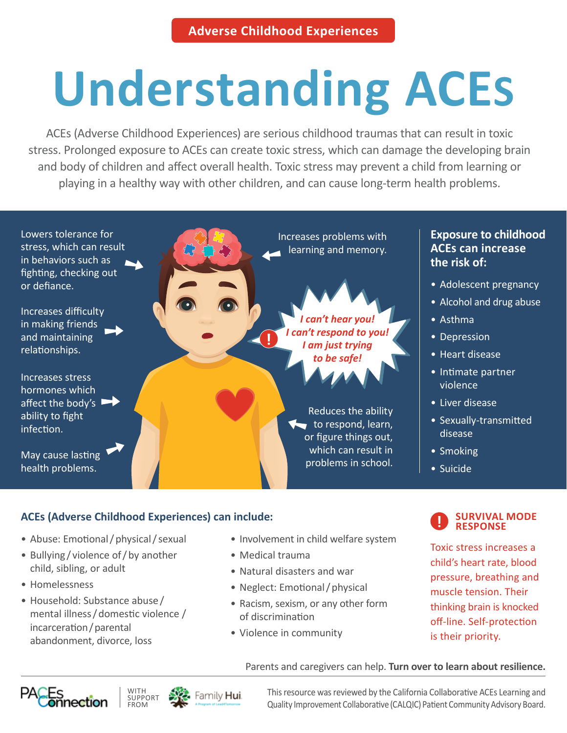# **Understanding ACES**

ACEs (Adverse Childhood Experiences) are serious childhood traumas that can result in toxic stress. Prolonged exposure to ACEs can create toxic stress, which can damage the developing brain and body of children and affect overall health. Toxic stress may prevent a child from learning or playing in a healthy way with other children, and can cause long-term health problems.



## **ACEs (Adverse Childhood Experiences) can include:**

- Abuse: Emotional / physical / sexual
- Bullying / violence of / by another child, sibling, or adult
- Homelessness
- Household: Substance abuse / mental illness / domestic violence / incarceration / parental abandonment, divorce, loss
- Involvement in child welfare system
- Medical trauma
- Natural disasters and war
- Neglect: Emotional / physical
- Racism, sexism, or any other form of discrimination
- Violence in community

#### **SURVIVAL MODE RESPONSE**

Toxic stress increases a child's heart rate, blood pressure, breathing and muscle tension. Their thinking brain is knocked off-line. Self-protection is their priority.

#### Parents and caregivers can help. **Turn over to learn about resilience.**





This resource was reviewed by the California Collaborative ACEs Learning and Quality Improvement Collaborative (CALQIC) Patient Community Advisory Board.